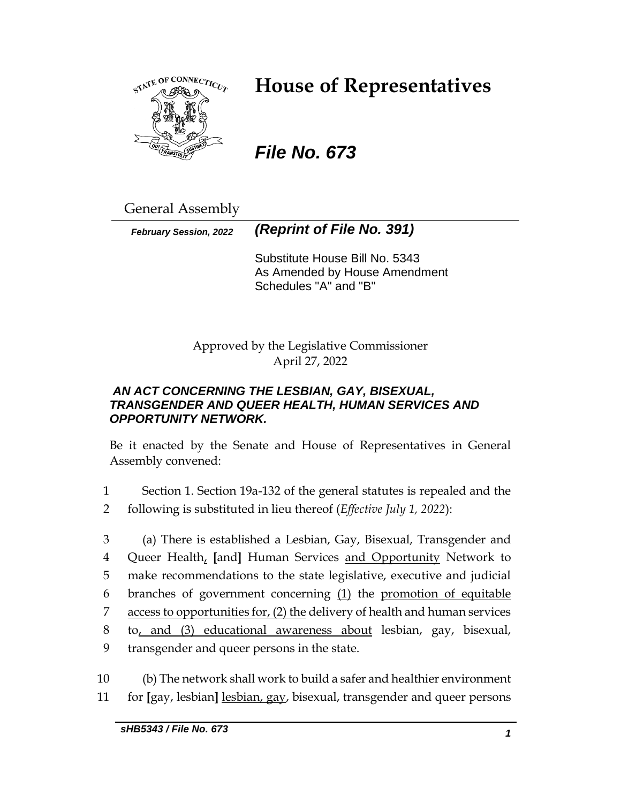

# **House of Representatives**

## *File No. 673*

General Assembly

*February Session, 2022 (Reprint of File No. 391)*

Substitute House Bill No. 5343 As Amended by House Amendment Schedules "A" and "B"

Approved by the Legislative Commissioner April 27, 2022

## *AN ACT CONCERNING THE LESBIAN, GAY, BISEXUAL, TRANSGENDER AND QUEER HEALTH, HUMAN SERVICES AND OPPORTUNITY NETWORK.*

Be it enacted by the Senate and House of Representatives in General Assembly convened:

1 Section 1. Section 19a-132 of the general statutes is repealed and the 2 following is substituted in lieu thereof (*Effective July 1, 2022*):

 (a) There is established a Lesbian, Gay, Bisexual, Transgender and Queer Health, **[**and**]** Human Services and Opportunity Network to make recommendations to the state legislative, executive and judicial branches of government concerning (1) the promotion of equitable access to opportunities for, (2) the delivery of health and human services to, and (3) educational awareness about lesbian, gay, bisexual, transgender and queer persons in the state.

10 (b) The network shall work to build a safer and healthier environment 11 for **[**gay, lesbian**]** lesbian, gay, bisexual, transgender and queer persons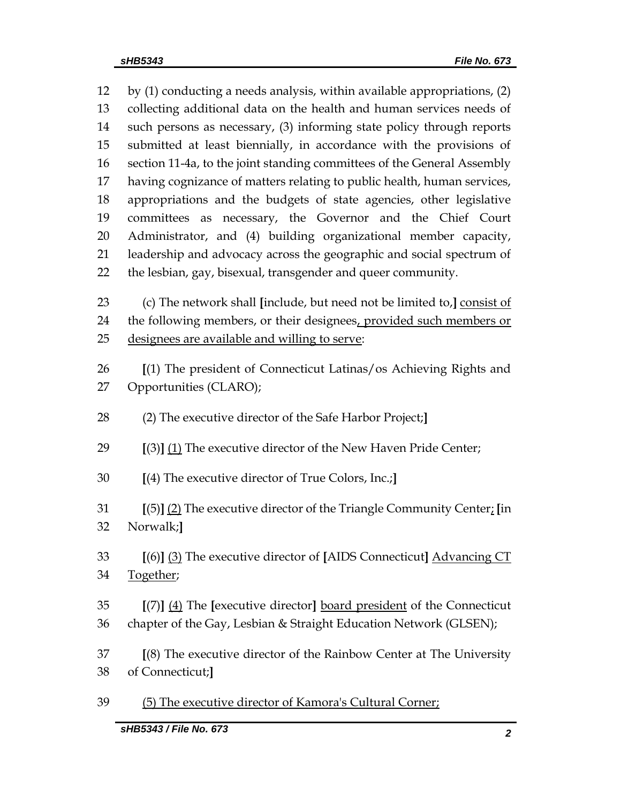by (1) conducting a needs analysis, within available appropriations, (2) collecting additional data on the health and human services needs of such persons as necessary, (3) informing state policy through reports submitted at least biennially, in accordance with the provisions of section 11-4a, to the joint standing committees of the General Assembly having cognizance of matters relating to public health, human services, appropriations and the budgets of state agencies, other legislative committees as necessary, the Governor and the Chief Court Administrator, and (4) building organizational member capacity, leadership and advocacy across the geographic and social spectrum of the lesbian, gay, bisexual, transgender and queer community.

 (c) The network shall **[**include, but need not be limited to,**]** consist of the following members, or their designees, provided such members or designees are available and willing to serve:

- **[**(1) The president of Connecticut Latinas/os Achieving Rights and Opportunities (CLARO);
- (2) The executive director of the Safe Harbor Project;**]**
- **[**(3)**]** (1) The executive director of the New Haven Pride Center;
- **[**(4) The executive director of True Colors, Inc.;**]**
- **[**(5)**]** (2) The executive director of the Triangle Community Center; **[**in Norwalk;**]**
- **[**(6)**]** (3) The executive director of **[**AIDS Connecticut**]** Advancing CT Together;
- **[**(7)**]** (4) The **[**executive director**]** board president of the Connecticut chapter of the Gay, Lesbian & Straight Education Network (GLSEN);
- **[**(8) The executive director of the Rainbow Center at The University of Connecticut;**]**
- (5) The executive director of Kamora's Cultural Corner;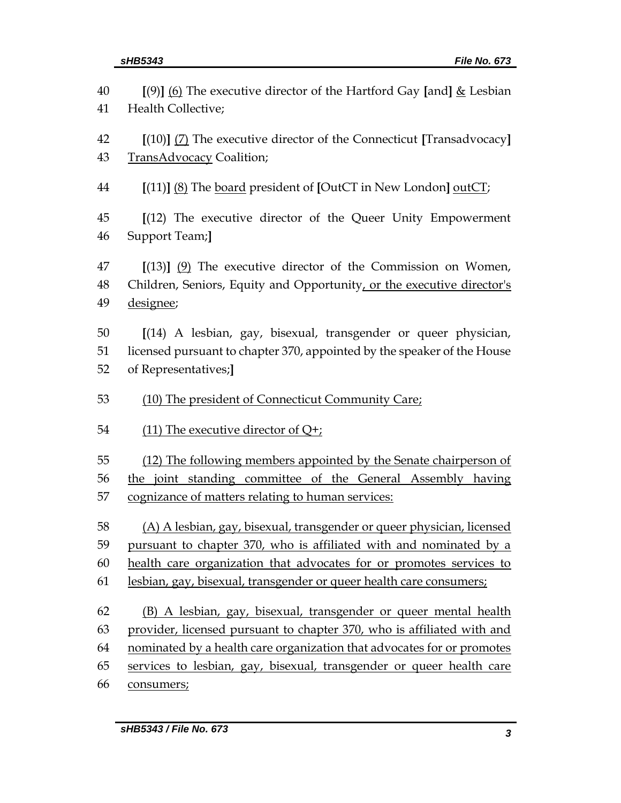| 40 | [(9)] (6) The executive director of the Hartford Gay [and] $\&$ Lesbian                                          |  |  |  |
|----|------------------------------------------------------------------------------------------------------------------|--|--|--|
| 41 | Health Collective;                                                                                               |  |  |  |
| 42 | $[(10)]$ (7) The executive director of the Connecticut [Transadvocacy]                                           |  |  |  |
| 43 | TransAdvocacy Coalition;                                                                                         |  |  |  |
|    |                                                                                                                  |  |  |  |
| 44 | [(11)] (8) The board president of [OutCT in New London] outCT;                                                   |  |  |  |
| 45 | $[(12)$ The executive director of the Queer Unity Empowerment                                                    |  |  |  |
| 46 | Support Team;]                                                                                                   |  |  |  |
|    |                                                                                                                  |  |  |  |
| 47 | $[(13)]$ $(9)$ The executive director of the Commission on Women,                                                |  |  |  |
| 48 | Children, Seniors, Equity and Opportunity, or the executive director's                                           |  |  |  |
| 49 | designee;                                                                                                        |  |  |  |
| 50 | [(14) A lesbian, gay, bisexual, transgender or queer physician,                                                  |  |  |  |
| 51 | licensed pursuant to chapter 370, appointed by the speaker of the House                                          |  |  |  |
| 52 | of Representatives;]                                                                                             |  |  |  |
|    |                                                                                                                  |  |  |  |
|    |                                                                                                                  |  |  |  |
| 53 | (10) The president of Connecticut Community Care;                                                                |  |  |  |
| 54 | (11) The executive director of $Q_{\tau}$ :                                                                      |  |  |  |
| 55 |                                                                                                                  |  |  |  |
| 56 | (12) The following members appointed by the Senate chairperson of                                                |  |  |  |
| 57 | the joint standing committee of the General Assembly having<br>cognizance of matters relating to human services: |  |  |  |
|    |                                                                                                                  |  |  |  |
| 58 | (A) A lesbian, gay, bisexual, transgender or queer physician, licensed                                           |  |  |  |
| 59 | pursuant to chapter 370, who is affiliated with and nominated by a                                               |  |  |  |
| 60 | health care organization that advocates for or promotes services to                                              |  |  |  |
| 61 | lesbian, gay, bisexual, transgender or queer health care consumers;                                              |  |  |  |
| 62 | (B) A lesbian, gay, bisexual, transgender or queer mental health                                                 |  |  |  |
| 63 | provider, licensed pursuant to chapter 370, who is affiliated with and                                           |  |  |  |
| 64 | nominated by a health care organization that advocates for or promotes                                           |  |  |  |
| 65 | services to lesbian, gay, bisexual, transgender or queer health care                                             |  |  |  |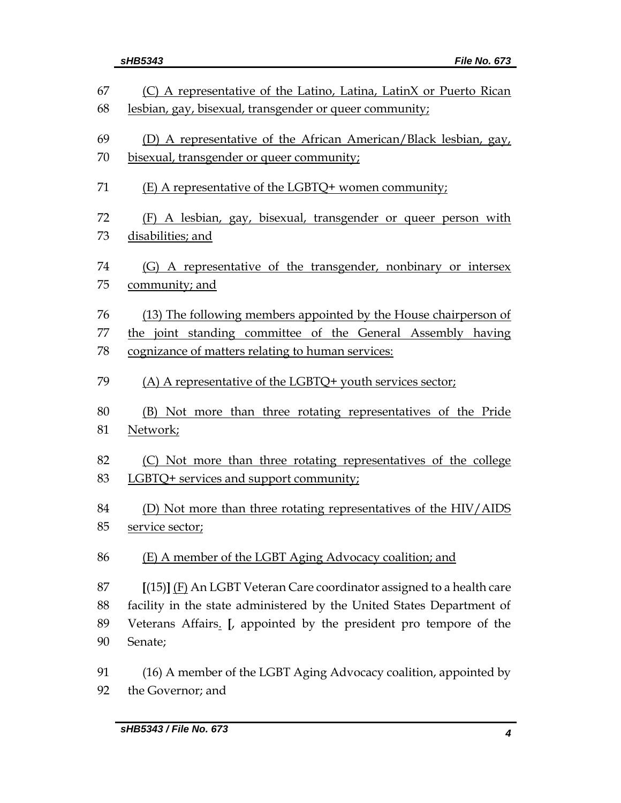|    | sHB5343<br><b>File No. 673</b>                                     |
|----|--------------------------------------------------------------------|
| 67 | (C) A representative of the Latino, Latina, LatinX or Puerto Rican |
| 68 | lesbian, gay, bisexual, transgender or queer community;            |
|    |                                                                    |
| 69 | (D) A representative of the African American/Black lesbian, gay,   |
| 70 | bisexual, transgender or queer community;                          |
| 71 | (E) A representative of the LGBTQ+ women community;                |
| 72 | (F) A lesbian, gay, bisexual, transgender or queer person with     |
| 73 | disabilities; and                                                  |
|    |                                                                    |
| 74 | (G) A representative of the transgender, nonbinary or intersex     |
| 75 | community; and                                                     |
| 76 | (13) The following members appointed by the House chairperson of   |
| 77 | the joint standing committee of the General Assembly having        |
| 78 | cognizance of matters relating to human services:                  |
|    |                                                                    |
| 79 | (A) A representative of the LGBTQ+ youth services sector;          |
| 80 | (B) Not more than three rotating representatives of the Pride      |
| 81 | Network;                                                           |
|    |                                                                    |
| 82 | (C) Not more than three rotating representatives of the college    |
| 83 | LGBTQ+ services and support community;                             |
|    |                                                                    |
| 84 | (D) Not more than three rotating representatives of the HIV/AIDS   |
| 85 | service sector;                                                    |
| 86 | (E) A member of the LGBT Aging Advocacy coalition; and             |

 **[**(15)**]** (F) An LGBT Veteran Care coordinator assigned to a health care facility in the state administered by the United States Department of Veterans Affairs. **[**, appointed by the president pro tempore of the Senate;

 (16) A member of the LGBT Aging Advocacy coalition, appointed by the Governor; and

*<i>File No. 673*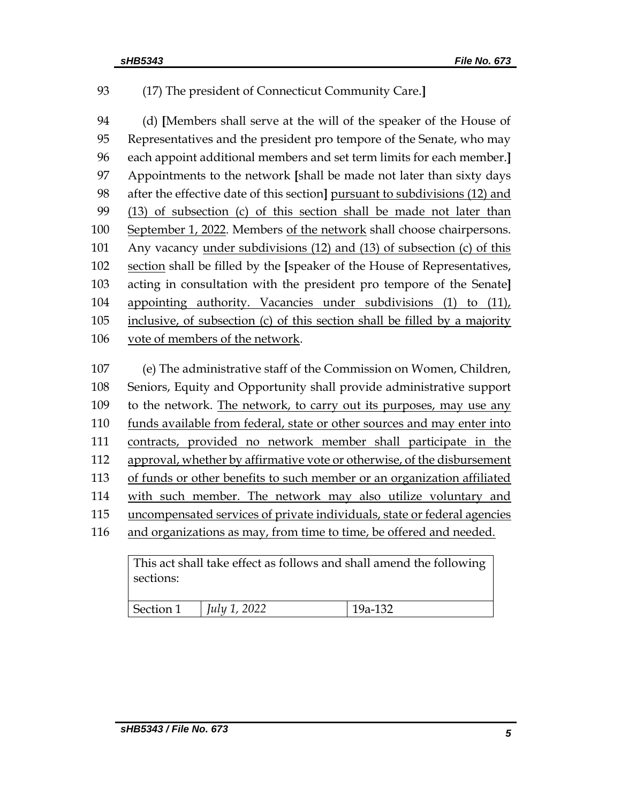## (17) The president of Connecticut Community Care.**]**

 (d) **[**Members shall serve at the will of the speaker of the House of Representatives and the president pro tempore of the Senate, who may each appoint additional members and set term limits for each member.**]** Appointments to the network **[**shall be made not later than sixty days after the effective date of this section**]** pursuant to subdivisions (12) and (13) of subsection (c) of this section shall be made not later than 100 September 1, 2022. Members of the network shall choose chairpersons. Any vacancy under subdivisions (12) and (13) of subsection (c) of this section shall be filled by the **[**speaker of the House of Representatives, acting in consultation with the president pro tempore of the Senate**]** appointing authority. Vacancies under subdivisions (1) to (11), 105 inclusive, of subsection (c) of this section shall be filled by a majority vote of members of the network.

 (e) The administrative staff of the Commission on Women, Children, Seniors, Equity and Opportunity shall provide administrative support to the network. The network, to carry out its purposes, may use any funds available from federal, state or other sources and may enter into contracts, provided no network member shall participate in the approval, whether by affirmative vote or otherwise, of the disbursement of funds or other benefits to such member or an organization affiliated with such member. The network may also utilize voluntary and 115 uncompensated services of private individuals, state or federal agencies and organizations as may, from time to time, be offered and needed.

| sections: | This act shall take effect as follows and shall amend the following |           |
|-----------|---------------------------------------------------------------------|-----------|
| Section 1 | July 1, 2022                                                        | $19a-132$ |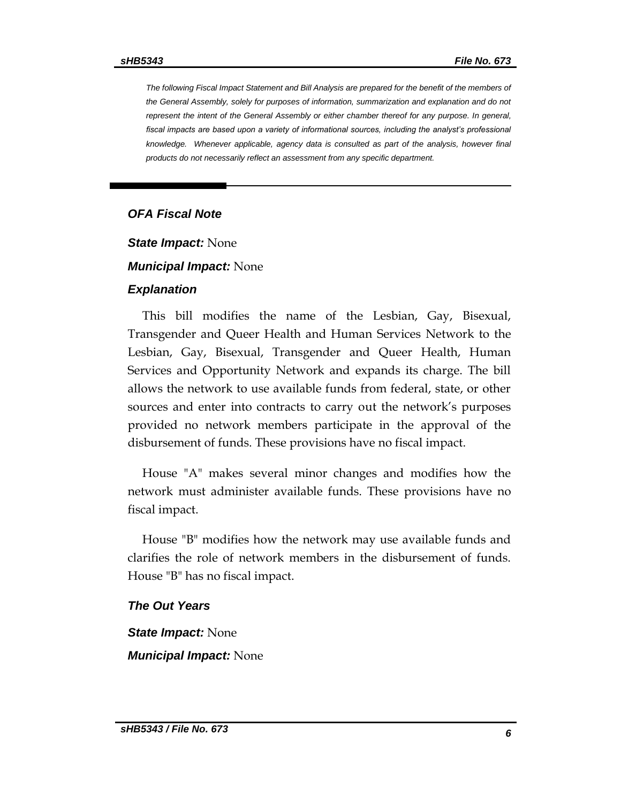*The following Fiscal Impact Statement and Bill Analysis are prepared for the benefit of the members of the General Assembly, solely for purposes of information, summarization and explanation and do not represent the intent of the General Assembly or either chamber thereof for any purpose. In general,*  fiscal impacts are based upon a variety of informational sources, including the analyst's professional *knowledge. Whenever applicable, agency data is consulted as part of the analysis, however final products do not necessarily reflect an assessment from any specific department.*

#### *OFA Fiscal Note*

*State Impact:* None

#### *Municipal Impact:* None

#### *Explanation*

This bill modifies the name of the Lesbian, Gay, Bisexual, Transgender and Queer Health and Human Services Network to the Lesbian, Gay, Bisexual, Transgender and Queer Health, Human Services and Opportunity Network and expands its charge. The bill allows the network to use available funds from federal, state, or other sources and enter into contracts to carry out the network's purposes provided no network members participate in the approval of the disbursement of funds. These provisions have no fiscal impact.

House "A" makes several minor changes and modifies how the network must administer available funds. These provisions have no fiscal impact.

House "B" modifies how the network may use available funds and clarifies the role of network members in the disbursement of funds. House "B" has no fiscal impact.

### *The Out Years*

*State Impact:* None *Municipal Impact:* None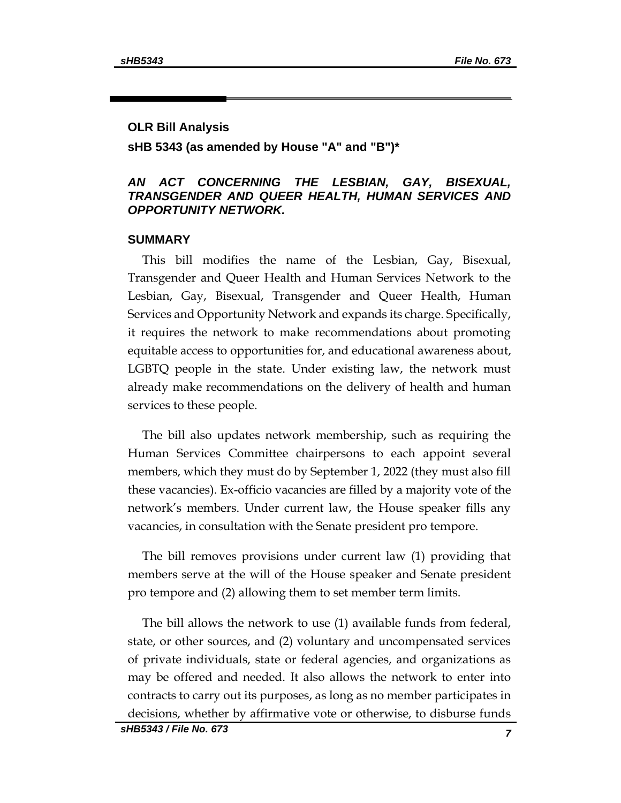#### **OLR Bill Analysis**

#### **sHB 5343 (as amended by House "A" and "B")\***

#### *AN ACT CONCERNING THE LESBIAN, GAY, BISEXUAL, TRANSGENDER AND QUEER HEALTH, HUMAN SERVICES AND OPPORTUNITY NETWORK.*

#### **SUMMARY**

This bill modifies the name of the Lesbian, Gay, Bisexual, Transgender and Queer Health and Human Services Network to the Lesbian, Gay, Bisexual, Transgender and Queer Health, Human Services and Opportunity Network and expands its charge. Specifically, it requires the network to make recommendations about promoting equitable access to opportunities for, and educational awareness about, LGBTQ people in the state. Under existing law, the network must already make recommendations on the delivery of health and human services to these people.

The bill also updates network membership, such as requiring the Human Services Committee chairpersons to each appoint several members, which they must do by September 1, 2022 (they must also fill these vacancies). Ex-officio vacancies are filled by a majority vote of the network's members. Under current law, the House speaker fills any vacancies, in consultation with the Senate president pro tempore.

The bill removes provisions under current law (1) providing that members serve at the will of the House speaker and Senate president pro tempore and (2) allowing them to set member term limits.

The bill allows the network to use (1) available funds from federal, state, or other sources, and (2) voluntary and uncompensated services of private individuals, state or federal agencies, and organizations as may be offered and needed. It also allows the network to enter into contracts to carry out its purposes, as long as no member participates in decisions, whether by affirmative vote or otherwise, to disburse funds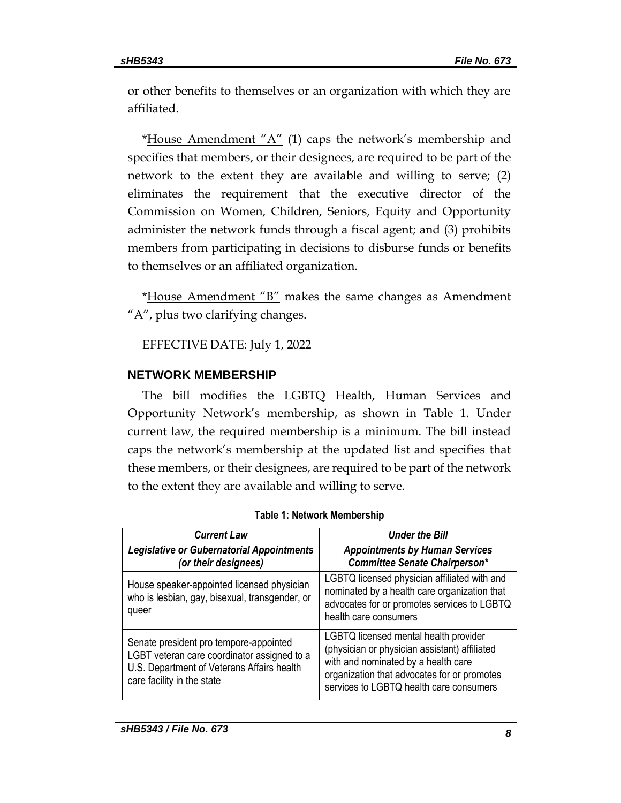or other benefits to themselves or an organization with which they are affiliated.

\*House Amendment " $A$ " (1) caps the network's membership and specifies that members, or their designees, are required to be part of the network to the extent they are available and willing to serve; (2) eliminates the requirement that the executive director of the Commission on Women, Children, Seniors, Equity and Opportunity administer the network funds through a fiscal agent; and (3) prohibits members from participating in decisions to disburse funds or benefits to themselves or an affiliated organization.

\*House Amendment "B" makes the same changes as Amendment "A", plus two clarifying changes.

## EFFECTIVE DATE: July 1, 2022

## **NETWORK MEMBERSHIP**

The bill modifies the LGBTQ Health, Human Services and Opportunity Network's membership, as shown in Table 1. Under current law, the required membership is a minimum. The bill instead caps the network's membership at the updated list and specifies that these members, or their designees, are required to be part of the network to the extent they are available and willing to serve.

| <b>Current Law</b>                                                                                                                                                | <b>Under the Bill</b>                                                                                                                                                                                                   |  |
|-------------------------------------------------------------------------------------------------------------------------------------------------------------------|-------------------------------------------------------------------------------------------------------------------------------------------------------------------------------------------------------------------------|--|
| Legislative or Gubernatorial Appointments<br>(or their designees)                                                                                                 | <b>Appointments by Human Services</b><br>Committee Senate Chairperson*                                                                                                                                                  |  |
| House speaker-appointed licensed physician<br>who is lesbian, gay, bisexual, transgender, or<br>queer                                                             | LGBTQ licensed physician affiliated with and<br>nominated by a health care organization that<br>advocates for or promotes services to LGBTQ<br>health care consumers                                                    |  |
| Senate president pro tempore-appointed<br>LGBT veteran care coordinator assigned to a<br>U.S. Department of Veterans Affairs health<br>care facility in the state | LGBTQ licensed mental health provider<br>(physician or physician assistant) affiliated<br>with and nominated by a health care<br>organization that advocates for or promotes<br>services to LGBTQ health care consumers |  |

|  |  |  | <b>Table 1: Network Membership</b> |  |
|--|--|--|------------------------------------|--|
|--|--|--|------------------------------------|--|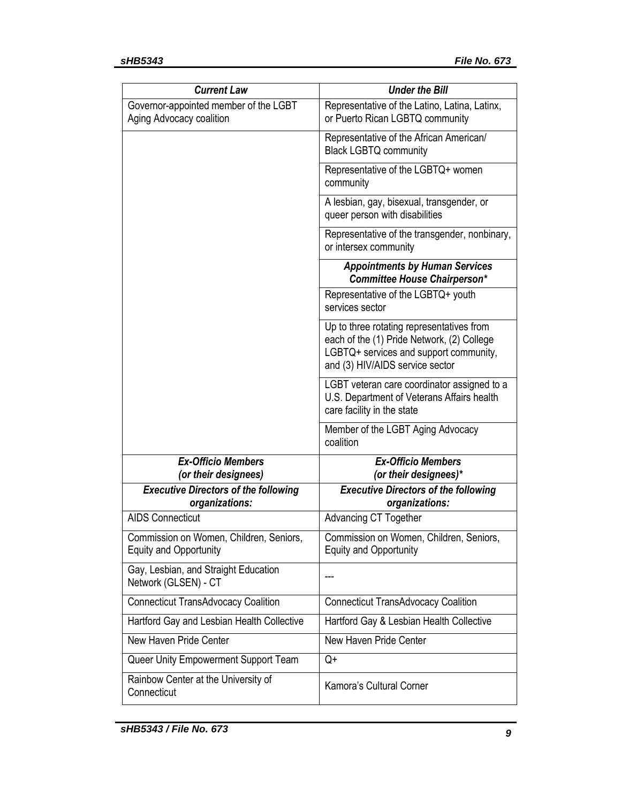| <b>Current Law</b>                                                       | <b>Under the Bill</b>                                                                                                                                                |  |  |
|--------------------------------------------------------------------------|----------------------------------------------------------------------------------------------------------------------------------------------------------------------|--|--|
| Governor-appointed member of the LGBT<br>Aging Advocacy coalition        | Representative of the Latino, Latina, Latinx,<br>or Puerto Rican LGBTQ community                                                                                     |  |  |
|                                                                          | Representative of the African American/<br><b>Black LGBTQ community</b>                                                                                              |  |  |
|                                                                          | Representative of the LGBTQ+ women<br>community                                                                                                                      |  |  |
|                                                                          | A lesbian, gay, bisexual, transgender, or<br>queer person with disabilities                                                                                          |  |  |
|                                                                          | Representative of the transgender, nonbinary,<br>or intersex community                                                                                               |  |  |
|                                                                          | <b>Appointments by Human Services</b><br><b>Committee House Chairperson*</b>                                                                                         |  |  |
|                                                                          | Representative of the LGBTQ+ youth<br>services sector                                                                                                                |  |  |
|                                                                          | Up to three rotating representatives from<br>each of the (1) Pride Network, (2) College<br>LGBTQ+ services and support community,<br>and (3) HIV/AIDS service sector |  |  |
|                                                                          | LGBT veteran care coordinator assigned to a<br>U.S. Department of Veterans Affairs health<br>care facility in the state                                              |  |  |
|                                                                          | Member of the LGBT Aging Advocacy<br>coalition                                                                                                                       |  |  |
| <b>Ex-Officio Members</b><br>(or their designees)                        | <b>Ex-Officio Members</b><br>(or their designees)*                                                                                                                   |  |  |
| <b>Executive Directors of the following</b><br>organizations:            | <b>Executive Directors of the following</b><br>organizations:                                                                                                        |  |  |
| <b>AIDS Connecticut</b>                                                  | <b>Advancing CT Together</b>                                                                                                                                         |  |  |
| Commission on Women, Children, Seniors,<br><b>Equity and Opportunity</b> | Commission on Women, Children, Seniors,<br><b>Equity and Opportunity</b>                                                                                             |  |  |
| Gay, Lesbian, and Straight Education<br>Network (GLSEN) - CT             |                                                                                                                                                                      |  |  |
| <b>Connecticut TransAdvocacy Coalition</b>                               | <b>Connecticut TransAdvocacy Coalition</b>                                                                                                                           |  |  |
| Hartford Gay and Lesbian Health Collective                               | Hartford Gay & Lesbian Health Collective                                                                                                                             |  |  |
| New Haven Pride Center                                                   | New Haven Pride Center                                                                                                                                               |  |  |
| Queer Unity Empowerment Support Team                                     | Q+                                                                                                                                                                   |  |  |
| Rainbow Center at the University of<br>Connecticut                       | Kamora's Cultural Corner                                                                                                                                             |  |  |